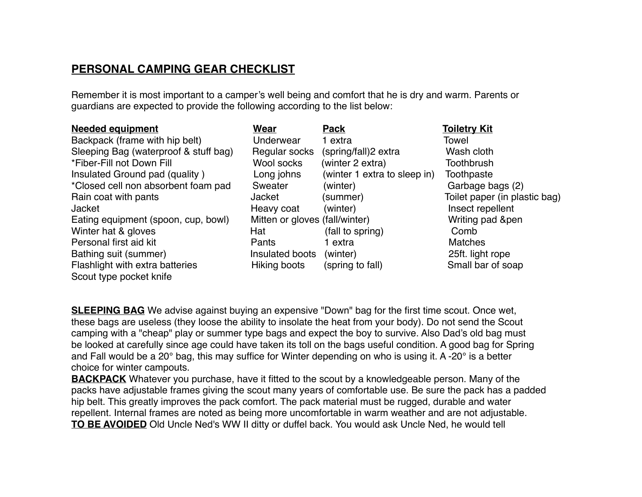## **PERSONAL CAMPING GEAR CHECKLIST**

Remember it is most important to a camper's well being and comfort that he is dry and warm. Parents or guardians are expected to provide the following according to the list below:

| <b>Needed equipment</b>               | Wear                           | <b>Pack</b>                  | <b>Toiletry Kit</b>           |
|---------------------------------------|--------------------------------|------------------------------|-------------------------------|
| Backpack (frame with hip belt)        | Underwear                      | 1 extra                      | Towel                         |
| Sleeping Bag (waterproof & stuff bag) | Regular socks                  | (spring/fall)2 extra         | Wash cloth                    |
| *Fiber-Fill not Down Fill             | Wool socks                     | (winter 2 extra)             | <b>Toothbrush</b>             |
| Insulated Ground pad (quality)        | Long johns                     | (winter 1 extra to sleep in) | Toothpaste                    |
| *Closed cell non absorbent foam pad   | Sweater                        | (winter)                     | Garbage bags (2)              |
| Rain coat with pants                  | Jacket                         | (summer)                     | Toilet paper (in plastic bag) |
| <b>Jacket</b>                         | Heavy coat                     | (winter)                     | Insect repellent              |
| Eating equipment (spoon, cup, bowl)   | Mitten or gloves (fall/winter) |                              | Writing pad &pen              |
| Winter hat & gloves                   | Hat                            | (fall to spring)             | Comb                          |
| Personal first aid kit                | Pants                          | 1 extra                      | <b>Matches</b>                |
| Bathing suit (summer)                 | Insulated boots                | (winter)                     | 25ft. light rope              |
| Flashlight with extra batteries       | Hiking boots                   | (spring to fall)             | Small bar of soap             |
| Scout type pocket knife               |                                |                              |                               |

**SLEEPING BAG** We advise against buying an expensive "Down" bag for the first time scout. Once wet, these bags are useless (they loose the ability to insolate the heat from your body). Do not send the Scout camping with a "cheap" play or summer type bags and expect the boy to survive. Also Dad's old bag must be looked at carefully since age could have taken its toll on the bags useful condition. A good bag for Spring and Fall would be a 20° bag, this may suffice for Winter depending on who is using it. A -20° is a better choice for winter campouts.

**BACKPACK** Whatever you purchase, have it fitted to the scout by a knowledgeable person. Many of the packs have adjustable frames giving the scout many years of comfortable use. Be sure the pack has a padded hip belt. This greatly improves the pack comfort. The pack material must be rugged, durable and water repellent. Internal frames are noted as being more uncomfortable in warm weather and are not adjustable. **TO BE AVOIDED** Old Uncle Ned's WW II ditty or duffel back. You would ask Uncle Ned, he would tell